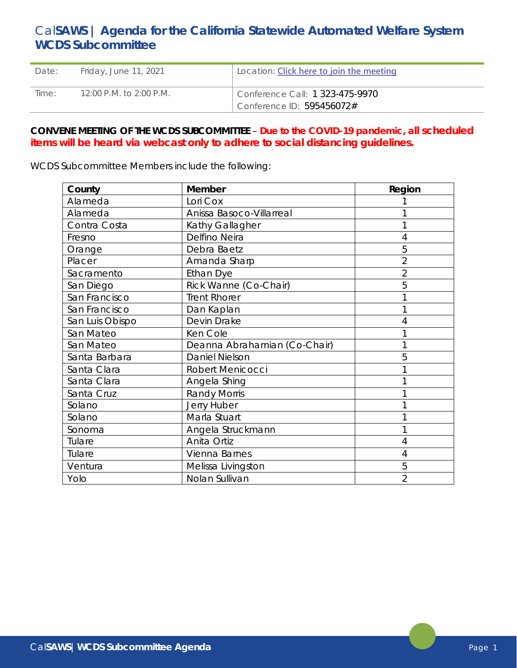# Cal**SAWS | Agenda for the California Statewide Automated Welfare System WCDS Subcommittee**

| Date: | Friday, June 11, 2021                       | Location: <b>Click here to join the meeting</b>              |
|-------|---------------------------------------------|--------------------------------------------------------------|
| Time: | $12:00 \text{ P.M.}$ to $2:00 \text{ P.M.}$ | Conference Call: 1 323-475-9970<br>Conference ID: 595456072# |

## **CONVENE MEETING OF THE WCDS SUBCOMMITTEE** – **Due to the COVID-19 pandemic, all scheduled items will be heard via webcast only to adhere to social distancing guidelines.**

WCDS Subcommittee Members include the following:

| County          | <b>Member</b>                | Region         |
|-----------------|------------------------------|----------------|
| Alameda         | Lori Cox                     |                |
| Alameda         | Anissa Basoco-Villarreal     |                |
| Contra Costa    | Kathy Gallagher              |                |
| Fresno          | Delfino Neira                | 4              |
| Orange          | Debra Baetz                  | 5              |
| Placer          | Amanda Sharp                 | $\overline{2}$ |
| Sacramento      | <b>Ethan Dye</b>             | $\overline{2}$ |
| San Diego       | Rick Wanne (Co-Chair)        | 5              |
| San Francisco   | <b>Trent Rhorer</b>          |                |
| San Francisco   | Dan Kaplan                   |                |
| San Luis Obispo | Devin Drake                  |                |
| San Mateo       | Ken Cole                     |                |
| San Mateo       | Deanna Abrahamian (Co-Chair) |                |
| Santa Barbara   | <b>Daniel Nielson</b>        | 5              |
| Santa Clara     | Robert Menicocci             |                |
| Santa Clara     | Angela Shing                 |                |
| Santa Cruz      | <b>Randy Morris</b>          |                |
| Solano          | Jerry Huber                  |                |
| Solano          | Marla Stuart                 |                |
| Sonoma          | Angela Struckmann            |                |
| Tulare          | Anita Ortiz                  | 4              |
| Tulare          | Vienna Barnes                | 4              |
| Ventura         | Melissa Livingston           | 5              |
| Yolo            | Nolan Sullivan               | $\overline{2}$ |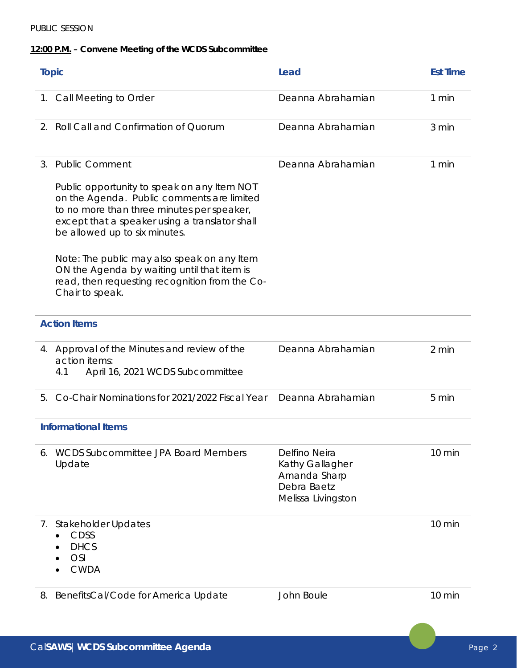### PUBLIC SESSION

## **12:00 P.M. – Convene Meeting of the WCDS Subcommittee**

| <b>Topic</b>               |                                                                                                                                                                                                                            | Lead                                                                                  | <b>Est Time</b>  |
|----------------------------|----------------------------------------------------------------------------------------------------------------------------------------------------------------------------------------------------------------------------|---------------------------------------------------------------------------------------|------------------|
|                            | 1. Call Meeting to Order                                                                                                                                                                                                   | Deanna Abrahamian                                                                     | 1 min            |
| 2.                         | Roll Call and Confirmation of Quorum                                                                                                                                                                                       | Deanna Abrahamian                                                                     | 3 min            |
| 3.                         | <b>Public Comment</b>                                                                                                                                                                                                      | Deanna Abrahamian                                                                     | 1 min            |
|                            | Public opportunity to speak on any Item NOT<br>on the Agenda. Public comments are limited<br>to no more than three minutes per speaker,<br>except that a speaker using a translator shall<br>be allowed up to six minutes. |                                                                                       |                  |
|                            | Note: The public may also speak on any Item<br>ON the Agenda by waiting until that item is<br>read, then requesting recognition from the Co-<br>Chair to speak.                                                            |                                                                                       |                  |
|                            | <b>Action Items</b>                                                                                                                                                                                                        |                                                                                       |                  |
|                            | 4. Approval of the Minutes and review of the<br>action items:<br>4.1<br>April 16, 2021 WCDS Subcommittee                                                                                                                   | Deanna Abrahamian                                                                     | 2 min            |
| 5.                         | Co-Chair Nominations for 2021/2022 Fiscal Year                                                                                                                                                                             | Deanna Abrahamian                                                                     | 5 min            |
| <b>Informational Items</b> |                                                                                                                                                                                                                            |                                                                                       |                  |
|                            | <b>WCDS Subcommittee JPA Board Members</b><br>Update                                                                                                                                                                       | Delfino Neira<br>Kathy Gallagher<br>Amanda Sharp<br>Debra Baetz<br>Melissa Livingston | 10 min           |
| 7.                         | <b>Stakeholder Updates</b><br><b>CDSS</b><br><b>DHCS</b><br><b>OSI</b><br><b>CWDA</b>                                                                                                                                      |                                                                                       | $10 \text{ min}$ |
| 8.                         | BenefitsCal/Code for America Update                                                                                                                                                                                        | John Boule                                                                            | 10 min           |